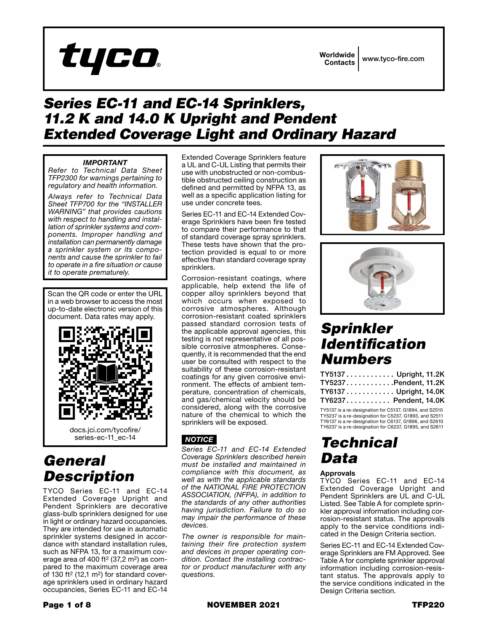

## *Series EC-11 and EC-14 Sprinklers, 11.2 K and 14.0 K Upright and Pendent Extended Coverage Light and Ordinary Hazard*

### *IMPORTANT*

*Refer to Technical Data Sheet TFP2300 for warnings pertaining to regulatory and health information.*

*Always refer to Technical Data Sheet TFP700 for the "INSTALLER WARNING" that provides cautions with respect to handling and installation of sprinkler systems and components. Improper handling and installation can permanently damage a sprinkler system or its components and cause the sprinkler to fail to operate in a fire situation or cause it to operate prematurely.*

Scan the QR code or enter the URL in a web browser to access the most up-to-date electronic version of this document. Data rates may apply.



## *General Description*

TYCO Series EC-11 and EC-14 Extended Coverage Upright and Pendent Sprinklers are decorative glass-bulb sprinklers designed for use in light or ordinary hazard occupancies. They are intended for use in automatic sprinkler systems designed in accordance with standard installation rules, such as NFPA 13, for a maximum coverage area of 400 ft<sup>2</sup> (37,2 m<sup>2</sup>) as compared to the maximum coverage area of 130 ft<sup>2</sup> (12,1 m<sup>2</sup>) for standard coverage sprinklers used in ordinary hazard occupancies, Series EC-11 and EC-14

Extended Coverage Sprinklers feature a UL and C-UL Listing that permits their use with unobstructed or non-combustible obstructed ceiling construction as defined and permitted by NFPA 13, as well as a specific application listing for use under concrete tees.

Series EC-11 and EC-14 Extended Coverage Sprinklers have been fire tested to compare their performance to that of standard coverage spray sprinklers. These tests have shown that the protection provided is equal to or more effective than standard coverage spray sprinklers.

Corrosion-resistant coatings, where applicable, help extend the life of copper alloy sprinklers beyond that which occurs when exposed to corrosive atmospheres. Although corrosion-resistant coated sprinklers passed standard corrosion tests of the applicable approval agencies, this testing is not representative of all possible corrosive atmospheres. Consequently, it is recommended that the end user be consulted with respect to the suitability of these corrosion-resistant coatings for any given corrosive environment. The effects of ambient temperature, concentration of chemicals, and gas/chemical velocity should be considered, along with the corrosive nature of the chemical to which the sprinklers will be exposed.

### *NOTICE*

*Series EC-11 and EC-14 Extended Coverage Sprinklers described herein must be installed and maintained in compliance with this document, as well as with the applicable standards*  of the NATIONAL<sup>'</sup> FIRE PROTECTION *ASSOCIATION, (NFPA), in addition to the standards of any other authorities having jurisdiction. Failure to do so may impair the performance of these devices.*

*The owner is responsible for maintaining their fire protection system and devices in proper operating condition. Contact the installing contractor or product manufacturer with any questions.*





## *Sprinkler Identification Numbers*

| TY5137 Upright, 11.2K |  |
|-----------------------|--|
| TY5237Pendent, 11.2K  |  |
| TY6137 Upright, 14.0K |  |
| TY6237 Pendent, 14.0K |  |

TY5137 is a re-designation for C5137, G1894, and S2510 TY5237 is a re-designation for C5237, G1893, and S2511 TY6137 is a re-designation for C6137, G1896, and S2610 TY6237 is a re-designation for C6237, G1895, and S2611

# *Technical Data*

### Approvals

TYCO Series EC-11 and EC-14 Extended Coverage Upright and Pendent Sprinklers are UL and C-UL Listed. See Table A for complete sprinkler approval information including corrosion-resistant status. The approvals apply to the service conditions indicated in the Design Criteria section.

Series EC-11 and EC-14 Extended Coverage Sprinklers are FM Approved. See Table A for complete sprinkler approval information including corrosion-resistant status. The approvals apply to the service conditions indicated in the Design Criteria section.

Page 1 of 8 NOVEMBER 2021 **TFP220**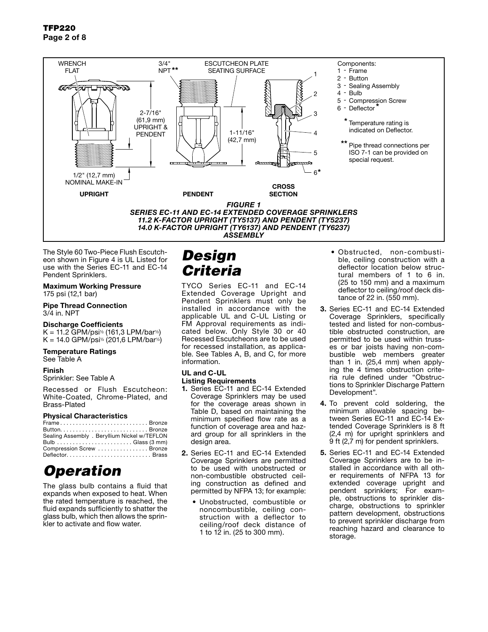

The Style 60 Two-Piece Flush Escutcheon shown in Figure 4 is UL Listed for use with the Series EC-11 and EC-14 Pendent Sprinklers.

### Maximum Working Pressure

175 psi (12,1 bar)

#### Pipe Thread Connection 3/4 in. NPT

#### Discharge Coefficients

K = 11.2 GPM/psi½ (161,3 LPM/bar½)  $K = 14.0 \text{ GPM}/p\sin^2(201.6 \text{ LPM}/bar^2)$ 

#### Temperature Ratings

See Table A

### Finish

Sprinkler: See Table A

Recessed or Flush Escutcheon: White-Coated, Chrome-Plated, and Brass-Plated

### Physical Characteristics

| FrameBronze                                  |  |
|----------------------------------------------|--|
|                                              |  |
| Sealing Assembly . Beryllium Nickel w/TEFLON |  |
|                                              |  |
| Compression Screw Bronze                     |  |
|                                              |  |

# *Operation*

The glass bulb contains a fluid that expands when exposed to heat. When the rated temperature is reached, the fluid expands sufficiently to shatter the glass bulb, which then allows the sprinkler to activate and flow water.

# *Design Criteria*

TYCO Series EC-11 and EC-14 Extended Coverage Upright and Pendent Sprinklers must only be installed in accordance with the applicable UL and C-UL Listing or FM Approval requirements as indicated below. Only Style 30 or 40 Recessed Escutcheons are to be used for recessed installation, as applicable. See Tables A, B, and C, for more information.

### UL and C-UL

- Listing Requirements 1. Series EC-11 and EC-14 Extended Coverage Sprinklers may be used for the coverage areas shown in Table D, based on maintaining the minimum specified flow rate as a function of coverage area and hazard group for all sprinklers in the design area.
- 2. Series EC-11 and EC-14 Extended Coverage Sprinklers are permitted to be used with unobstructed or non-combustible obstructed ceiling construction as defined and permitted by NFPA 13; for example:
	- Unobstructed, combustible or noncombustible, ceiling construction with a deflector to ceiling/roof deck distance of 1 to 12 in. (25 to 300 mm).
- Obstructed, non-combustible, ceiling construction with a deflector location below structural members of 1 to 6 in. (25 to 150 mm) and a maximum deflector to ceiling/roof deck distance of 22 in. (550 mm).
- 3. Series EC-11 and EC-14 Extended Coverage Sprinklers, specifically tested and listed for non-combustible obstructed construction, are permitted to be used within trusses or bar joists having non-combustible web members greater than 1 in. (25,4 mm) when applying the 4 times obstruction criteria rule defined under "Obstructions to Sprinkler Discharge Pattern Development".
- 4. To prevent cold soldering, the minimum allowable spacing between Series EC-11 and EC-14 Extended Coverage Sprinklers is 8 ft (2,4 m) for upright sprinklers and 9 ft (2,7 m) for pendent sprinklers.
- 5. Series EC-11 and EC-14 Extended Coverage Sprinklers are to be installed in accordance with all other requirements of NFPA 13 for extended coverage upright and pendent sprinklers; For example, obstructions to sprinkler discharge, obstructions to sprinkler pattern development, obstructions to prevent sprinkler discharge from reaching hazard and clearance to storage.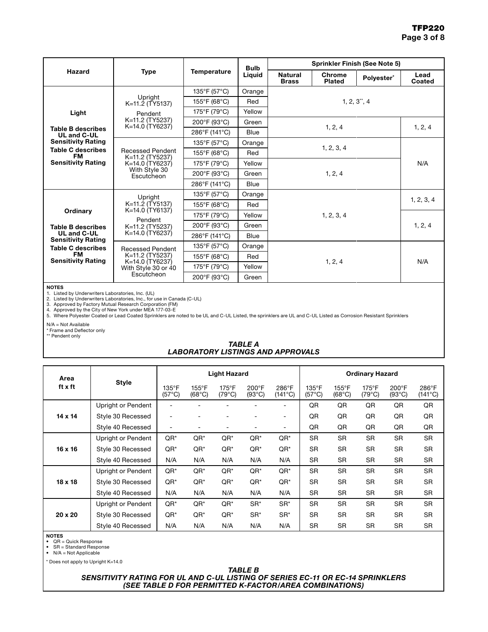|                                                                      |                                                                                      |                                   | <b>Bulb</b> | <b>Sprinkler Finish (See Note 5)</b> |                         |            |                |  |  |
|----------------------------------------------------------------------|--------------------------------------------------------------------------------------|-----------------------------------|-------------|--------------------------------------|-------------------------|------------|----------------|--|--|
| Hazard                                                               | <b>Type</b>                                                                          | <b>Temperature</b>                | Liquid      | <b>Natural</b><br><b>Brass</b>       | Chrome<br><b>Plated</b> | Polyester* | Lead<br>Coated |  |  |
|                                                                      |                                                                                      | 135°F (57°C)                      | Orange      |                                      |                         |            |                |  |  |
|                                                                      | Upright<br>K=11.2 (TY5137)                                                           | 155°F (68°C)                      | Red         |                                      |                         |            |                |  |  |
| Light                                                                | Pendent                                                                              | 175°F (79°C)                      | Yellow      |                                      |                         |            |                |  |  |
|                                                                      | K=11.2 (TY5237)<br>K=14.0 (TY6237)                                                   | 200°F (93°C)                      | Green       |                                      |                         |            |                |  |  |
| <b>Table B describes</b><br>UL and C-UL                              |                                                                                      | 286°F (141°C)                     | Blue        |                                      | 1, 2, 4                 |            |                |  |  |
| <b>Sensitivity Rating</b>                                            |                                                                                      | 135°F (57°C)                      | Orange      |                                      |                         |            |                |  |  |
| <b>Table C describes</b><br>FM.                                      | <b>Recessed Pendent</b><br>K=11.2 (TY5237)                                           | 155°F (68°C)                      | Red         |                                      | N/A                     |            |                |  |  |
| <b>Sensitivity Rating</b>                                            | K=14.0 (TY6237)                                                                      | 175°F (79°C)                      | Yellow      |                                      |                         |            |                |  |  |
|                                                                      | With Style 30<br>Escutcheon                                                          | 200°F (93°C)                      | Green       | 1, 2, 4                              |                         |            |                |  |  |
|                                                                      |                                                                                      | 286°F (141°C)                     | <b>Blue</b> |                                      |                         |            |                |  |  |
|                                                                      | Upright<br>K=11.2 (TY5137)<br>K=14.0 (TY6137)<br>Pendent<br>K=11.2 (TY5237)          | 135°F (57°C)                      | Orange      |                                      |                         |            | 1, 2, 3, 4     |  |  |
|                                                                      |                                                                                      | 155°F (68°C)                      | Red         | 1, 2, 3, 4                           |                         |            |                |  |  |
| Ordinary                                                             |                                                                                      | 175°F (79°C)                      | Yellow      |                                      |                         | 1, 2, 4    |                |  |  |
| <b>Table B describes</b><br>UL and C-UL<br><b>Sensitivity Rating</b> |                                                                                      | 200°F (93°C)                      | Green       |                                      |                         |            |                |  |  |
|                                                                      | K=14.0 (TY6237)                                                                      | 286°F (141°C)                     | <b>Blue</b> |                                      |                         |            |                |  |  |
| <b>Table C describes</b>                                             | <b>Recessed Pendent</b><br>K=11.2 (TY5237)<br>K=14.0 (TY6237)<br>With Style 30 or 40 | 135°F (57°C)                      | Orange      |                                      |                         |            |                |  |  |
| FM<br><b>Sensitivity Rating</b>                                      |                                                                                      | $155^{\circ}$ F (68 $^{\circ}$ C) | Red         |                                      |                         |            |                |  |  |
|                                                                      |                                                                                      | 175°F (79°C)                      | Yellow      |                                      | 1, 2, 4                 |            | N/A            |  |  |
|                                                                      | Escutcheon                                                                           | 200°F (93°C)                      | Green       |                                      |                         |            |                |  |  |

NOTES

1. Listed by Underwriters Laboratories, Inc. (UL) 2. Listed by Underwriters Laboratories, Inc., for use in Canada (C-UL)

3. Approved by Factory Mutual Research Corporation (FM)<br>4. Approved by the City of New York under MEA 177-03-E<br>5. Where Polyester Coated or Lead Coated Sprinklers are noted to be UL and C-UL Listed, the sprinklers are U

N/A = Not Available \* Frame and Deflector only \*\* Pendent only

### *TABLE A LABORATORY LISTINGS AND APPROVALS*

| Area           |                    | <b>Light Hazard</b>      |                                    |                                    |                                  |                           | <b>Ordinary Hazard</b>             |                                    |                                    |                                    |                           |
|----------------|--------------------|--------------------------|------------------------------------|------------------------------------|----------------------------------|---------------------------|------------------------------------|------------------------------------|------------------------------------|------------------------------------|---------------------------|
| ft x ft        | <b>Style</b>       | 135°F<br>$(57^{\circ}C)$ | $155^{\circ}$ F<br>$(68^{\circ}C)$ | $175^{\circ}$ F<br>$(79^{\circ}C)$ | $200^\circ F$<br>$(93^{\circ}C)$ | 286°F<br>$(141^{\circ}C)$ | $135^{\circ}$ F<br>$(57^{\circ}C)$ | $155^{\circ}$ F<br>$(68^{\circ}C)$ | $175^{\circ}$ F<br>$(79^{\circ}C)$ | $200^{\circ}$ F<br>$(93^{\circ}C)$ | 286°F<br>$(141^{\circ}C)$ |
|                | Upright or Pendent |                          |                                    |                                    |                                  |                           | QR                                 | QR                                 | QR                                 | QR                                 | QR                        |
| 14 x 14        | Style 30 Recessed  | ۰                        |                                    |                                    |                                  | ۰                         | QR                                 | QR                                 | QR                                 | QR                                 | QR                        |
|                | Style 40 Recessed  |                          | ۰                                  |                                    |                                  | $\overline{\phantom{a}}$  | QR                                 | QR                                 | QR                                 | QR                                 | QR                        |
| 16 x 16        | Upright or Pendent | $QR^*$                   | $QR^*$                             | $QR^*$                             | $QR^*$                           | $QR^*$                    | <b>SR</b>                          | <b>SR</b>                          | <b>SR</b>                          | <b>SR</b>                          | <b>SR</b>                 |
|                | Style 30 Recessed  | $QR^*$                   | $QR^*$                             | $QR^*$                             | $QR^*$                           | $QR^*$                    | <b>SR</b>                          | <b>SR</b>                          | <b>SR</b>                          | <b>SR</b>                          | <b>SR</b>                 |
|                | Style 40 Recessed  | N/A                      | N/A                                | N/A                                | N/A                              | N/A                       | <b>SR</b>                          | <b>SR</b>                          | <b>SR</b>                          | <b>SR</b>                          | <b>SR</b>                 |
|                | Upright or Pendent | $QR^*$                   | $QR^*$                             | $QR^*$                             | $QR^*$                           | $QR^*$                    | <b>SR</b>                          | <b>SR</b>                          | <b>SR</b>                          | <b>SR</b>                          | <b>SR</b>                 |
| $18 \times 18$ | Style 30 Recessed  | $QR^*$                   | $QR^*$                             | $QR^*$                             | $QR^*$                           | $QR^*$                    | <b>SR</b>                          | <b>SR</b>                          | <b>SR</b>                          | <b>SR</b>                          | <b>SR</b>                 |
|                | Style 40 Recessed  | N/A                      | N/A                                | N/A                                | N/A                              | N/A                       | <b>SR</b>                          | <b>SR</b>                          | <b>SR</b>                          | <b>SR</b>                          | <b>SR</b>                 |
| $20 \times 20$ | Upright or Pendent | $QR^*$                   | $QR^*$                             | $QR^*$                             | SR <sup>*</sup>                  | $SR^*$                    | <b>SR</b>                          | <b>SR</b>                          | <b>SR</b>                          | <b>SR</b>                          | <b>SR</b>                 |
|                | Style 30 Recessed  | $QR^*$                   | $QR^*$                             | $QR^*$                             | SR <sup>*</sup>                  | $SR^*$                    | <b>SR</b>                          | <b>SR</b>                          | <b>SR</b>                          | <b>SR</b>                          | <b>SR</b>                 |
|                | Style 40 Recessed  | N/A                      | N/A                                | N/A                                | N/A                              | N/A                       | <b>SR</b>                          | <b>SR</b>                          | <b>SR</b>                          | <b>SR</b>                          | <b>SR</b>                 |

NOTES • QR = Quick Response • SR = Standard Response

• N/A = Not Applicable

\* Does not apply to Upright K=14.0

### *TABLE B*

#### *SENSITIVITY RATING FOR UL AND C-UL LISTING OF SERIES EC-11 OR EC-14 SPRINKLERS (SEE TABLE D FOR PERMITTED K-FACTOR/AREA COMBINATIONS)*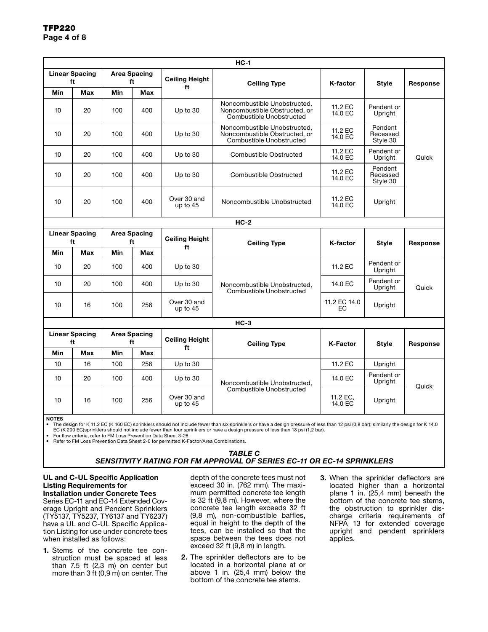| $HC-1$                |                                                          |                           |                       |                             |                                                                                           |                     |                                 |          |  |
|-----------------------|----------------------------------------------------------|---------------------------|-----------------------|-----------------------------|-------------------------------------------------------------------------------------------|---------------------|---------------------------------|----------|--|
|                       | <b>Linear Spacing</b><br><b>Area Spacing</b><br>ft<br>ft |                           | <b>Ceiling Height</b> |                             |                                                                                           |                     |                                 |          |  |
| Min                   | Max                                                      | Min                       | Max                   | ft                          | <b>Ceiling Type</b>                                                                       | K-factor            | Style                           | Response |  |
| 10                    | 20                                                       | 100                       | 400                   | Up to 30                    | Noncombustible Unobstructed.<br>Noncombustible Obstructed, or<br>Combustible Unobstructed | 11.2 EC<br>14.0 EC  | Pendent or<br>Upright           |          |  |
| 10                    | 20                                                       | 100                       | 400                   | Up to 30                    | Noncombustible Unobstructed.<br>Noncombustible Obstructed, or<br>Combustible Unobstructed | 11.2 EC<br>14.0 EC  | Pendent<br>Recessed<br>Style 30 | Quick    |  |
| 10                    | 20                                                       | 100                       | 400                   | Up to 30                    | Combustible Obstructed                                                                    | 11.2 EC<br>14.0 EC  | Pendent or<br>Upright           |          |  |
| 10                    | 20                                                       | 100                       | 400                   | Up to 30                    | Combustible Obstructed                                                                    | 11.2 EC<br>14.0 EC  | Pendent<br>Recessed<br>Style 30 |          |  |
| 10                    | 20                                                       | 100                       | 400                   | Over 30 and<br>up to $45$   | Noncombustible Unobstructed                                                               | 11.2 EC<br>14.0 EC  | Upright                         |          |  |
|                       |                                                          |                           |                       |                             | $HC-2$                                                                                    |                     |                                 |          |  |
|                       | <b>Linear Spacing</b><br><b>Area Spacing</b><br>ft<br>ft |                           | <b>Ceiling Height</b> | <b>Ceiling Type</b>         | K-factor                                                                                  | <b>Style</b>        | Response                        |          |  |
| Min                   | <b>Max</b>                                               | Min                       | Max                   | ft                          |                                                                                           |                     |                                 |          |  |
| 10                    | 20                                                       | 100                       | 400                   | Up to 30                    |                                                                                           | 11.2 EC             | Pendent or<br>Upright           |          |  |
| 10                    | 20                                                       | 100                       | 400                   | Up to 30                    | Noncombustible Unobstructed,<br>Combustible Unobstructed                                  | 14.0 EC             | Pendent or<br>Upright           | Quick    |  |
| 10                    | 16                                                       | 100                       | 256                   | Over 30 and<br>up to $45$   |                                                                                           | 11.2 EC 14.0<br>EC. | Upright                         |          |  |
|                       |                                                          |                           |                       |                             | $HC-3$                                                                                    |                     |                                 |          |  |
| <b>Linear Spacing</b> | ft                                                       | <b>Area Spacing</b><br>ft |                       | <b>Ceiling Height</b><br>ft | <b>Ceiling Type</b>                                                                       | <b>K-Factor</b>     | <b>Style</b>                    | Response |  |
| Min                   | Max                                                      | Min                       | Max                   |                             |                                                                                           |                     |                                 |          |  |
| 10                    | 16                                                       | 100                       | 256                   | Up to $30$                  |                                                                                           | 11.2 EC             | Upright                         |          |  |
| 10                    | 20                                                       | 100                       | 400                   | Up to $30$                  | Noncombustible Unobstructed,                                                              | 14.0 EC             | Pendent or<br>Upright           | Quick    |  |
| 10                    | 16                                                       | 100                       | 256                   | Over 30 and<br>up to $45$   | Combustible Unobstructed                                                                  | 11.2 EC.<br>14.0 EC | Upright                         |          |  |

NOTES

The design for K 11.2 EC (K 160 EC) sprinklers should not include fewer than six sprinklers or have a design pressure of less than 12 psi (0,8 bar); similarly the design for K 14.0 EC (K 200 EC)sprinklers should not include fewer than four sprinklers or have a design pressure of less than 18 psi (1,2 bar).

• For flow criteria, refer to FM Loss Prevention Data Sheet 3-26. • Refer to FM Loss Prevention Data Sheet 2-0 for permitted K-Factor/Area Combinations.

> *TABLE C SENSITIVITY RATING FOR FM APPROVAL OF SERIES EC-11 OR EC-14 SPRINKLERS*

UL and C-UL Specific Application Listing Requirements for Installation under Concrete Tees

Series EC-11 and EC-14 Extended Coverage Upright and Pendent Sprinklers (TY5137, TY5237, TY6137 and TY6237) have a UL and C-UL Specific Application Listing for use under concrete tees when installed as follows:

1. Stems of the concrete tee construction must be spaced at less than 7.5 ft (2,3 m) on center but more than 3 ft (0,9 m) on center. The

depth of the concrete tees must not exceed 30 in. (762 mm). The maximum permitted concrete tee length is 32 ft (9,8 m). However, where the concrete tee length exceeds 32 ft (9,8 m), non-combustible baffles, equal in height to the depth of the tees, can be installed so that the space between the tees does not exceed 32 ft (9,8 m) in length.

- 2. The sprinkler deflectors are to be located in a horizontal plane at or above 1 in. (25,4 mm) below the bottom of the concrete tee stems.
- 3. When the sprinkler deflectors are located higher than a horizontal plane 1 in. (25,4 mm) beneath the bottom of the concrete tee stems, the obstruction to sprinkler discharge criteria requirements of NFPA 13 for extended coverage upright and pendent sprinklers applies.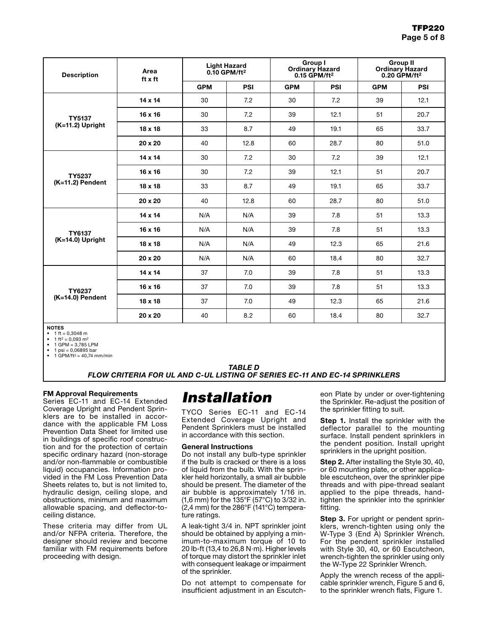| <b>Description</b>           | Area<br>ft x ft |            | <b>Light Hazard</b><br>$0.10$ GPM/ft <sup>2</sup> |            | Group I<br><b>Ordinary Hazard</b><br>$0.15$ GPM/ft <sup>2</sup> | <b>Group II</b><br><b>Ordinary Hazard</b><br>$0.20$ GPM/ft <sup>2</sup> |      |  |
|------------------------------|-----------------|------------|---------------------------------------------------|------------|-----------------------------------------------------------------|-------------------------------------------------------------------------|------|--|
|                              |                 | <b>GPM</b> | PSI                                               | <b>GPM</b> | PSI                                                             | <b>GPM</b>                                                              | PSI  |  |
|                              | 14 x 14         | 30         | 7.2                                               | 30         | 7.2                                                             | 39                                                                      | 12.1 |  |
| <b>TY5137</b>                | 16 x 16         | 30         | 7.2                                               | 39         | 12.1                                                            | 51                                                                      | 20.7 |  |
| (K=11.2) Upright             | $18 \times 18$  | 33         | 8.7                                               | 49         | 19.1                                                            | 65                                                                      | 33.7 |  |
|                              | $20 \times 20$  | 40         | 12.8                                              | 60         | 28.7                                                            | 80                                                                      | 51.0 |  |
|                              | $14 \times 14$  | 30         | 7.2                                               | 30         | 7.2                                                             | 39                                                                      | 12.1 |  |
| TY5237                       | $16 \times 16$  | 30         | 7.2                                               | 39         | 12.1                                                            | 51                                                                      | 20.7 |  |
| (K=11.2) Pendent             | $18 \times 18$  | 33         | 8.7                                               | 49         | 19.1                                                            | 65                                                                      | 33.7 |  |
|                              | 20 x 20         | 40         | 12.8                                              | 60         | 28.7                                                            | 80                                                                      | 51.0 |  |
|                              | 14 x 14         | N/A        | N/A                                               | 39         | 7.8                                                             | 51                                                                      | 13.3 |  |
| <b>TY6137</b>                | $16 \times 16$  | N/A        | N/A                                               | 39         | 7.8                                                             | 51                                                                      | 13.3 |  |
| (K=14.0) Upright             | $18 \times 18$  | N/A        | N/A                                               | 49         | 12.3                                                            | 65                                                                      | 21.6 |  |
|                              | 20 x 20         | N/A        | N/A                                               | 60         | 18.4                                                            | 80                                                                      | 32.7 |  |
| TY6237<br>$(K=14.0)$ Pendent | $14 \times 14$  | 37         | 7.0                                               | 39         | 7.8                                                             | 51                                                                      | 13.3 |  |
|                              | 16 x 16         | 37         | 7.0                                               | 39         | 7.8                                                             | 51                                                                      | 13.3 |  |
|                              | 18 x 18         | 37         | 7.0                                               | 49         | 12.3                                                            | 65                                                                      | 21.6 |  |
|                              | 20 x 20         | 40         | 8.2                                               | 60         | 18.4                                                            | 80                                                                      | 32.7 |  |

NOTES

 $1 \text{ ft} = 0,3048 \text{ m}$ 1 ft<sup>2</sup> = 0,093 m<sup>2</sup>

• 1 GPM = 3,785 LPM

 $1 \text{ psi} = 0.06895 \text{ bar}$ 

 $1$  GPM/ft<sup>2</sup> = 40,74 mm/min

### *TABLE D FLOW CRITERIA FOR UL AND C-UL LISTING OF SERIES EC-11 AND EC-14 SPRINKLERS*

#### FM Approval Requirements

Series EC-11 and EC-14 Extended Coverage Upright and Pendent Sprinklers are to be installed in accordance with the applicable FM Loss Prevention Data Sheet for limited use in buildings of specific roof construction and for the protection of certain specific ordinary hazard (non-storage and/or non-flammable or combustible liquid) occupancies. Information provided in the FM Loss Prevention Data Sheets relates to, but is not limited to, hydraulic design, ceiling slope, and obstructions, minimum and maximum allowable spacing, and deflector-toceiling distance.

These criteria may differ from UL and/or NFPA criteria. Therefore, the designer should review and become familiar with FM requirements before proceeding with design.

# *Installation*

TYCO Series EC-11 and EC-14 Extended Coverage Upright and Pendent Sprinklers must be installed in accordance with this section.

#### General Instructions

Do not install any bulb-type sprinkler if the bulb is cracked or there is a loss of liquid from the bulb. With the sprinkler held horizontally, a small air bubble should be present. The diameter of the air bubble is approximately 1/16 in. (1,6 mm) for the 135°F (57°C) to 3/32 in. (2,4 mm) for the 286°F (141°C) temperature ratings.

A leak-tight 3/4 in. NPT sprinkler joint should be obtained by applying a minimum-to-maximum torque of 10 to 20 lb-ft (13,4 to 26,8 N·m). Higher levels of torque may distort the sprinkler inlet with consequent leakage or impairment of the sprinkler.

Do not attempt to compensate for insufficient adjustment in an Escutch-

eon Plate by under or over-tightening the Sprinkler. Re-adjust the position of the sprinkler fitting to suit.

**Step 1.** Install the sprinkler with the deflector parallel to the mounting surface. Install pendent sprinklers in the pendent position. Install upright sprinklers in the upright position.

**Step 2.** After installing the Style 30, 40, or 60 mounting plate, or other applicable escutcheon, over the sprinkler pipe threads and with pipe-thread sealant applied to the pipe threads, handtighten the sprinkler into the sprinkler fitting.

**Step 3.** For upright or pendent sprinklers, wrench-tighten using only the W-Type 3 (End A) Sprinkler Wrench. For the pendent sprinkler installed with Style 30, 40, or 60 Escutcheon, wrench-tighten the sprinkler using only the W-Type 22 Sprinkler Wrench.

Apply the wrench recess of the applicable sprinkler wrench, Figure 5 and 6, to the sprinkler wrench flats, Figure 1.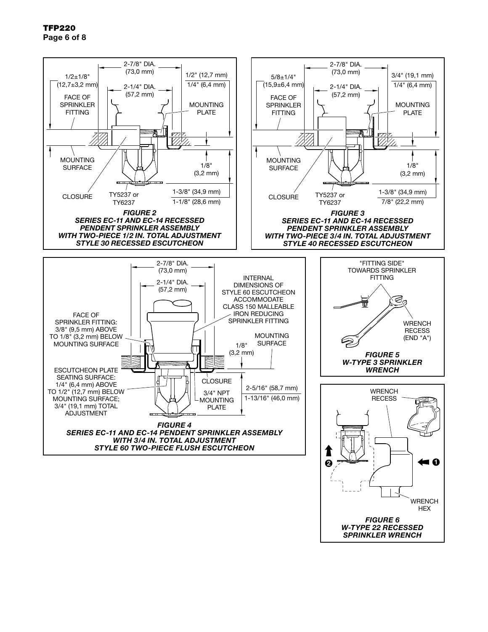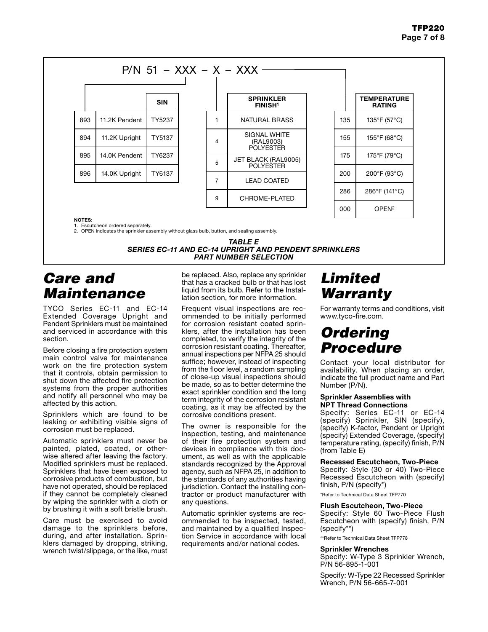

NOTES:

1. Escutcheon ordered separately.

2. OPEN indicates the sprinkler assembly without glass bulb, button, and sealing assembly.

*TABLE E SERIES EC-11 AND EC-14 UPRIGHT AND PENDENT SPRINKLERS PART NUMBER SELECTION*

## *Care and Maintenance*

TYCO Series EC-11 and EC-14 Extended Coverage Upright and Pendent Sprinklers must be maintained and serviced in accordance with this section.

Before closing a fire protection system main control valve for maintenance work on the fire protection system that it controls, obtain permission to shut down the affected fire protection systems from the proper authorities and notify all personnel who may be affected by this action.

Sprinklers which are found to be leaking or exhibiting visible signs of corrosion must be replaced.

Automatic sprinklers must never be painted, plated, coated, or otherwise altered after leaving the factory. Modified sprinklers must be replaced. Sprinklers that have been exposed to corrosive products of combustion, but have not operated, should be replaced if they cannot be completely cleaned by wiping the sprinkler with a cloth or by brushing it with a soft bristle brush.

Care must be exercised to avoid damage to the sprinklers before, during, and after installation. Sprinklers damaged by dropping, striking, wrench twist/slippage, or the like, must

be replaced. Also, replace any sprinkler that has a cracked bulb or that has lost liquid from its bulb. Refer to the Installation section, for more information.

Frequent visual inspections are recommended to be initially performed for corrosion resistant coated sprinklers, after the installation has been completed, to verify the integrity of the corrosion resistant coating. Thereafter, annual inspections per NFPA 25 should suffice; however, instead of inspecting from the floor level, a random sampling of close-up visual inspections should be made, so as to better determine the exact sprinkler condition and the long term integrity of the corrosion resistant coating, as it may be affected by the corrosive conditions present.

The owner is responsible for the inspection, testing, and maintenance of their fire protection system and devices in compliance with this document, as well as with the applicable standards recognized by the Approval agency, such as NFPA 25, in addition to the standards of any authorities having jurisdiction. Contact the installing contractor or product manufacturer with any questions.

Automatic sprinkler systems are recommended to be inspected, tested, and maintained by a qualified Inspection Service in accordance with local requirements and/or national codes.

# *Limited Warranty*

For warranty terms and conditions, visit www.tyco-fire.com.

## *Ordering Procedure*

Contact your local distributor for availability. When placing an order, indicate the full product name and Part Number (P/N).

#### Sprinkler Assemblies with NPT Thread Connections

Specify: Series EC-11 or EC-14 (specify) Sprinkler, SIN (specify), (specify) K-factor, Pendent or Upright (specify) Extended Coverage, (specify) temperature rating, (specify) finish, P/N (from Table E)

### Recessed Escutcheon, Two-Piece

Specify: Style (30 or 40) Two-Piece Recessed Escutcheon with (specify) finish, P/N (specify\*)

\*Refer to Technical Data Sheet TFP770

#### Flush Escutcheon, Two-Piece

Specify: Style 60 Two-Piece Flush Escutcheon with (specify) finish, P/N (specify\*\*)

\*\*Refer to Technical Data Sheet TFP778

#### Sprinkler Wrenches

Specify: W-Type 3 Sprinkler Wrench, P/N 56-895-1-001

Specify: W-Type 22 Recessed Sprinkler Wrench, P/N 56-665-7-001